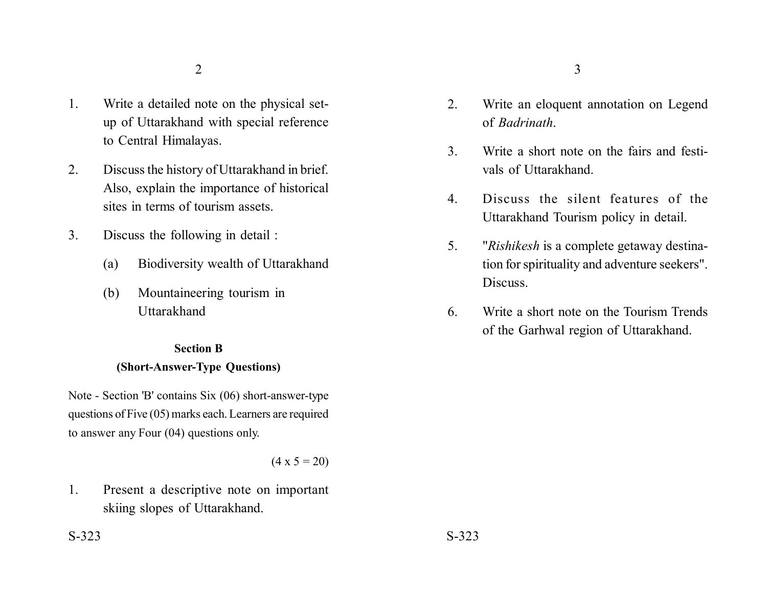- 1. Write a detailed note on the physical setup of Uttarakhand with special reference to Central Himalayas.
- 2. Discuss the history of Uttarakhand in brief. Also, explain the importance of historical sites in terms of tourism assets.
- 3. Discuss the following in detail :
	- (a) Biodiversity wealth of Uttarakhand
	- (b) Mountaineering tourism in Uttarakhand

# **Section B (Short-Answer-Type Questions)**

Note - Section 'B' contains Six (06) short-answer-type questions of Five (05) marks each. Learners are required to answer any Four (04) questions only.

#### $(4 \times 5 = 20)$

1. Present a descriptive note on important skiing slopes of Uttarakhand.

- $2\overline{3}$ 
	- 2. Write an eloquent annotation on Legend of *Badrinath*.
	- 3. Write a short note on the fairs and festivals of Uttarakhand.
	- 4. Discuss the silent features of the Uttarakhand Tourism policy in detail.
	- 5. "*Rishikesh* is a complete getaway destination for spirituality and adventure seekers". Discuss.
	- 6. Write a short note on the Tourism Trends of the Garhwal region of Uttarakhand.